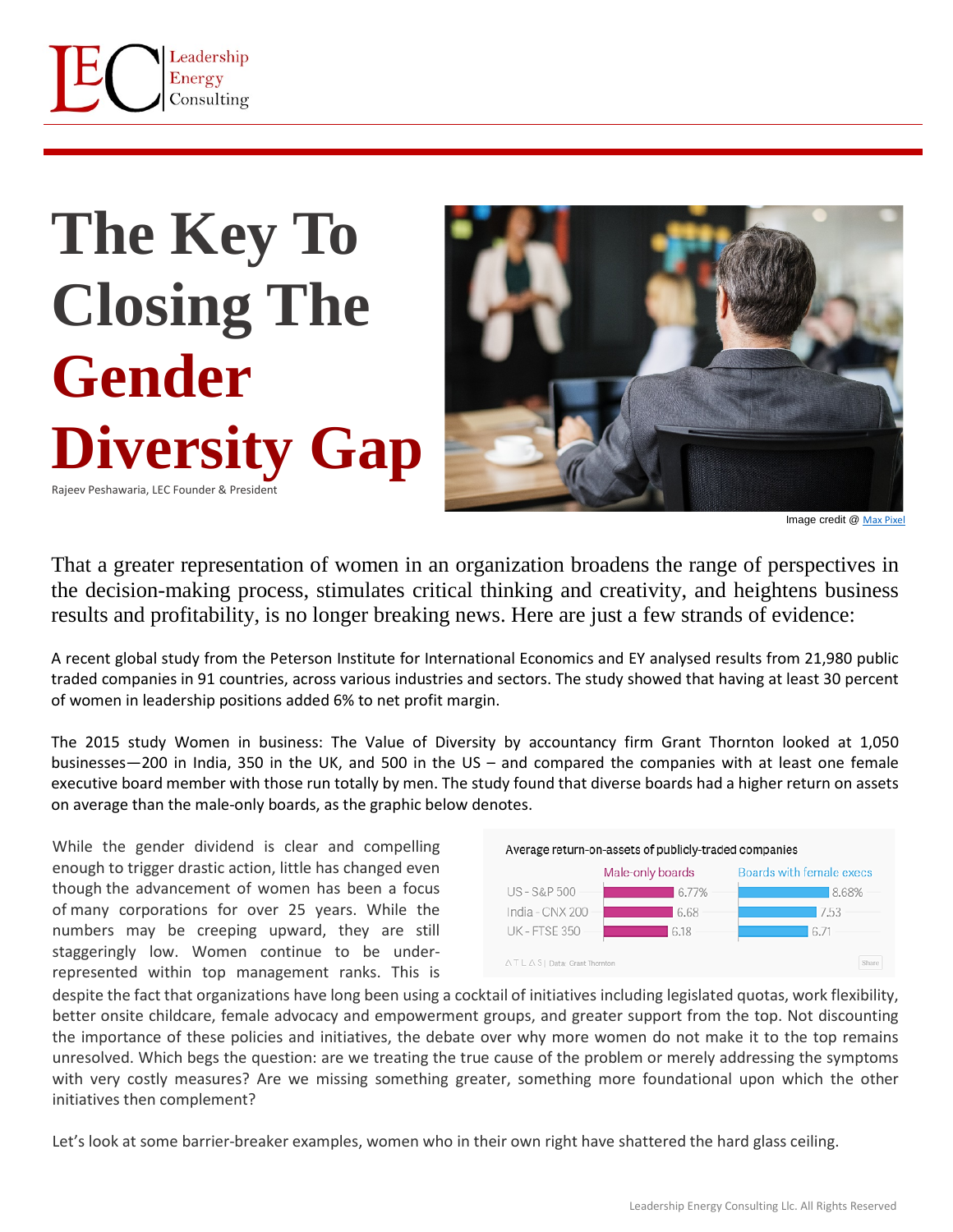

## **The Key To Closing The Gender Diversity Gap**  Rajeev Peshawaria, LEC Founder & President



Image credit @ [Max Pixel](https://www.maxpixel.net/African-American-American-African-Descent-Afro-3737233)

That a greater representation of women in an organization broadens the range of perspectives in the decision-making process, stimulates critical thinking and creativity, and heightens business results and profitability, is no longer breaking news. Here are just a few strands of evidence:

A recent global study from the Peterson Institute for International Economics and EY analysed results from 21,980 public traded companies in 91 countries, across various industries and sectors. The study showed that having at least 30 percent of women in leadership positions added 6% to net profit margin.

The 2015 study Women in business: The Value of Diversity by accountancy firm Grant Thornton looked at 1,050 businesses—200 in India, 350 in the UK, and 500 in the US – and compared the companies with at least one female executive board member with those run totally by men. The study found that diverse boards had a higher return on assets on average than the male-only boards, as the graphic below denotes.

While the gender dividend is clear and compelling enough to trigger drastic action, little has changed even though the advancement of women has been a focus of many corporations for over 25 years. While the numbers may be creeping upward, they are still staggeringly low. Women continue to be underrepresented within top management ranks. This is



despite the fact that organizations have long been using a cocktail of initiatives including legislated quotas, work flexibility, better onsite childcare, female advocacy and empowerment groups, and greater support from the top. Not discounting the importance of these policies and initiatives, the debate over why more women do not make it to the top remains unresolved. Which begs the question: are we treating the true cause of the problem or merely addressing the symptoms with very costly measures? Are we missing something greater, something more foundational upon which the other initiatives then complement?

Let's look at some barrier-breaker examples, women who in their own right have shattered the hard glass ceiling.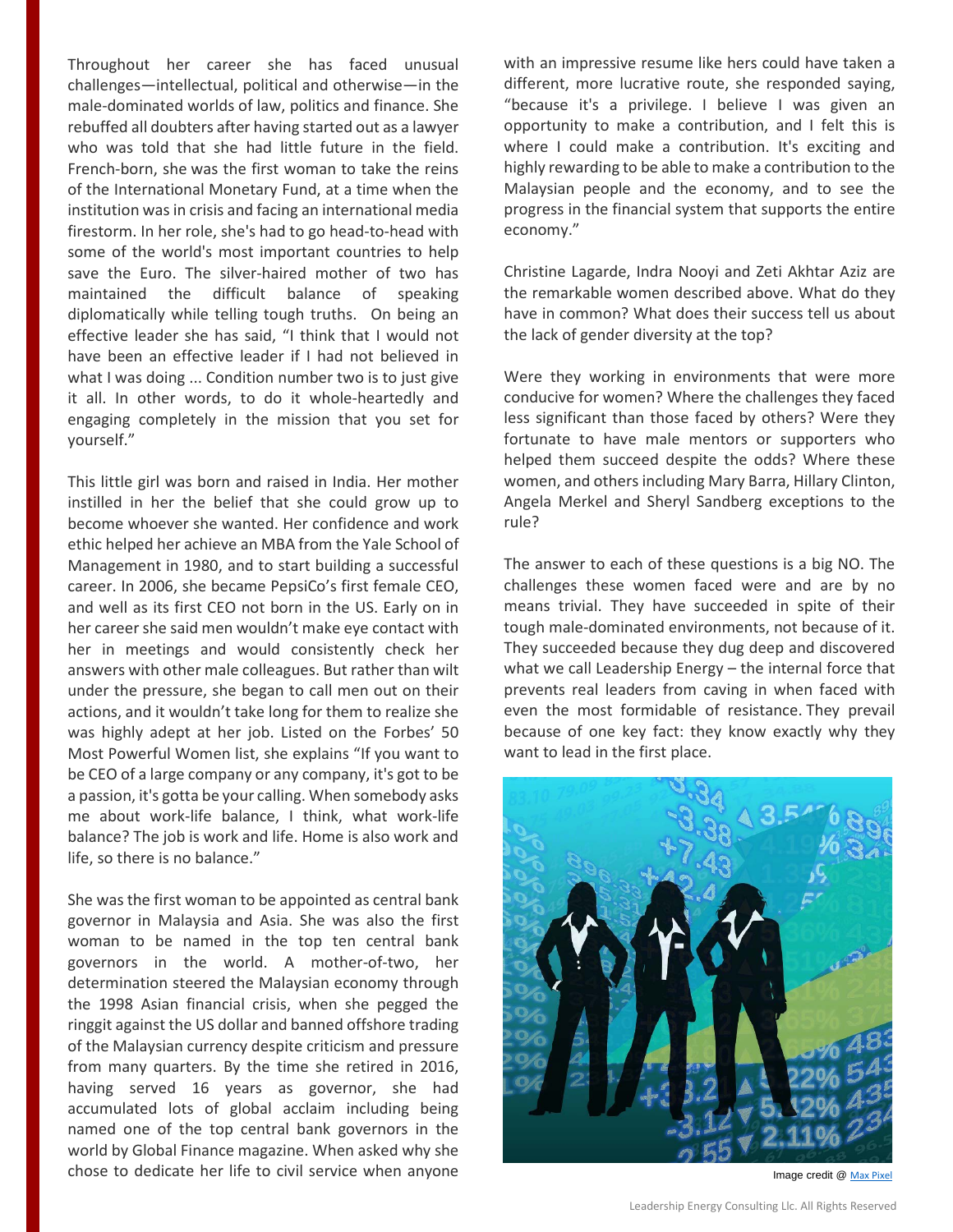Throughout her career she has faced unusual challenges—intellectual, political and otherwise—in the male-dominated worlds of law, politics and finance. She rebuffed all doubters after having started out as a lawyer who was told that she had little future in the field. French-born, she was the first woman to take the reins of the International Monetary Fund, at a time when the institution was in crisis and facing an international media firestorm. In her role, she's had to go head-to-head with some of the world's most important countries to help save the Euro. The silver-haired mother of two has maintained the difficult balance of speaking diplomatically while telling tough truths. On being an effective leader she has said, "I think that I would not have been an effective leader if I had not believed in what I was doing ... Condition number two is to just give it all. In other words, to do it whole-heartedly and engaging completely in the mission that you set for yourself."

This little girl was born and raised in India. Her mother instilled in her the belief that she could grow up to become whoever she wanted. Her confidence and work ethic helped her achieve an MBA from the Yale School of Management in 1980, and to start building a successful career. In 2006, she became PepsiCo's first female CEO, and well as its first CEO not born in the US. Early on in her career she said men wouldn't make eye contact with her in meetings and would consistently check her answers with other male colleagues. But rather than wilt under the pressure, she began to call men out on their actions, and it wouldn't take long for them to realize she was highly adept at her job. Listed on the Forbes' 50 Most Powerful Women list, she explains "If you want to be CEO of a large company or any company, it's got to be a passion, it's gotta be your calling. When somebody asks me about work-life balance, I think, what work-life balance? The job is work and life. Home is also work and life, so there is no balance."

She was the first woman to be appointed as central bank governor in Malaysia and Asia. She was also the first woman to be named in the top ten central bank governors in the world. A mother-of-two, her determination steered the Malaysian economy through the 1998 Asian financial crisis, when she pegged the ringgit against the US dollar and banned offshore trading of the Malaysian currency despite criticism and pressure from many quarters. By the time she retired in 2016, having served 16 years as governor, she had accumulated lots of global acclaim including being named one of the top central bank governors in the world by Global Finance magazine. When asked why she chose to dedicate her life to civil service when anyone with an impressive resume like hers could have taken a different, more lucrative route, she responded saying, "because it's a privilege. I believe I was given an opportunity to make a contribution, and I felt this is where I could make a contribution. It's exciting and highly rewarding to be able to make a contribution to the Malaysian people and the economy, and to see the progress in the financial system that supports the entire economy."

Christine Lagarde, Indra Nooyi and Zeti Akhtar Aziz are the remarkable women described above. What do they have in common? What does their success tell us about the lack of gender diversity at the top?

Were they working in environments that were more conducive for women? Where the challenges they faced less significant than those faced by others? Were they fortunate to have male mentors or supporters who helped them succeed despite the odds? Where these women, and others including Mary Barra, Hillary Clinton, Angela Merkel and Sheryl Sandberg exceptions to the rule?

The answer to each of these questions is a big NO. The challenges these women faced were and are by no means trivial. They have succeeded in spite of their tough male-dominated environments, not because of it. They succeeded because they dug deep and discovered what we call Leadership Energy – the internal force that prevents real leaders from caving in when faced with even the most formidable of resistance. They prevail because of one key fact: they know exactly why they want to lead in the first place.



Image credit @ [Max Pixel](https://www.maxpixel.net/Businessmen-Stock-Exchange-World-Economy-Woman-911618)